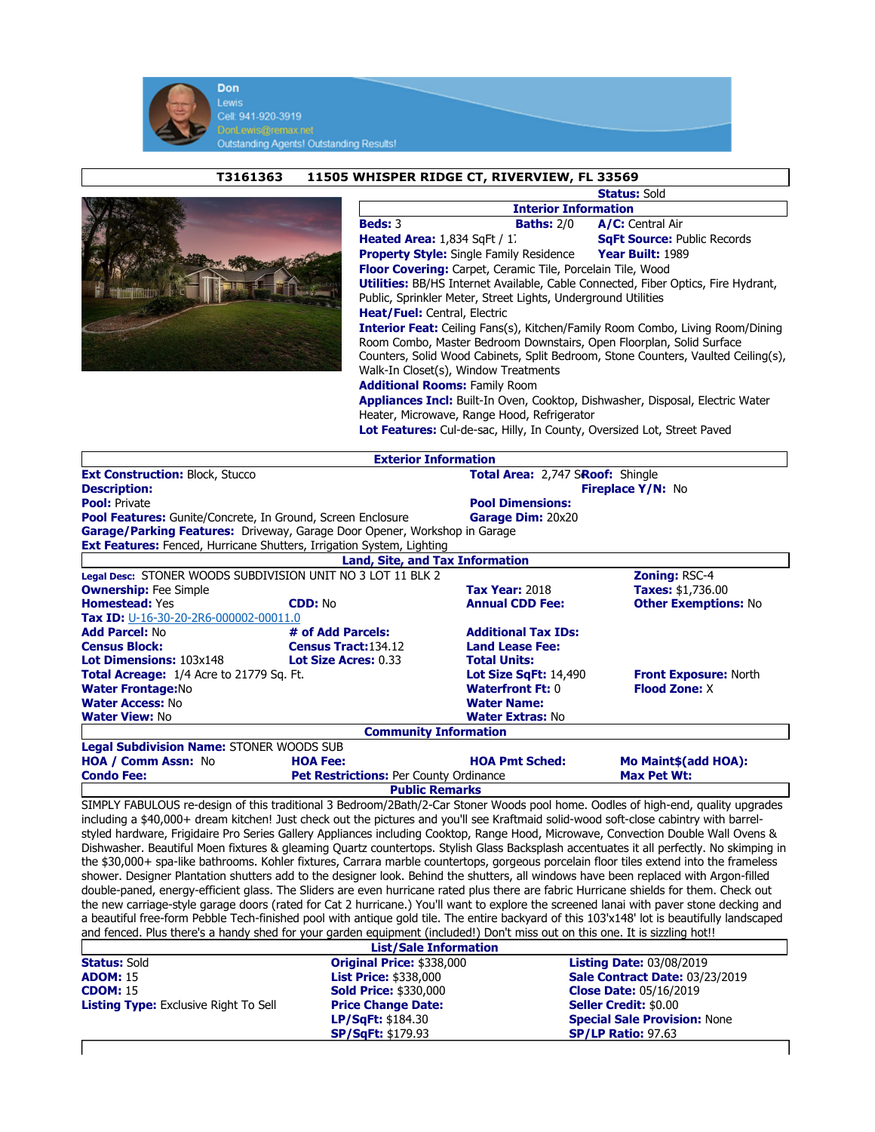

T3161363 11505 WHISPER RIDGE CT, RIVERVIEW, FL 33569



|                                                                                          | <b>Status: Sold</b>                |  |  |  |
|------------------------------------------------------------------------------------------|------------------------------------|--|--|--|
| <b>Interior Information</b>                                                              |                                    |  |  |  |
| <b>Beds: 3</b><br><b>Baths: 2/0</b>                                                      | A/C: Central Air                   |  |  |  |
| <b>Heated Area:</b> $1,834$ SqFt $/1$ .                                                  | <b>SqFt Source: Public Records</b> |  |  |  |
| <b>Property Style:</b> Single Family Residence                                           | Year Built: 1989                   |  |  |  |
| <b>Floor Covering:</b> Carpet, Ceramic Tile, Porcelain Tile, Wood                        |                                    |  |  |  |
| <b>Utilities:</b> BB/HS Internet Available, Cable Connected, Fiber Optics, Fire Hydrant, |                                    |  |  |  |
| Public, Sprinkler Meter, Street Lights, Underground Utilities                            |                                    |  |  |  |
| <b>Heat/Fuel:</b> Central, Electric                                                      |                                    |  |  |  |
| <b>Interior Feat:</b> Ceiling Fans(s), Kitchen/Family Room Combo, Living Room/Dining     |                                    |  |  |  |
| Room Combo, Master Bedroom Downstairs, Open Floorplan, Solid Surface                     |                                    |  |  |  |
| Counters, Solid Wood Cabinets, Split Bedroom, Stone Counters, Vaulted Ceiling(s),        |                                    |  |  |  |
| Walk-In Closet(s), Window Treatments                                                     |                                    |  |  |  |
| <b>Additional Rooms: Family Room</b>                                                     |                                    |  |  |  |
| <b>Appliances Incl:</b> Built-In Oven, Cooktop, Dishwasher, Disposal, Electric Water     |                                    |  |  |  |
| Heater, Microwave, Range Hood, Refrigerator                                              |                                    |  |  |  |

Lot Features: Cul-de-sac, Hilly, In County, Oversized Lot, Street Paved

|                                                                                                                                                                                                                                                                             | <b>Exterior Information</b>            |                              |                                                       |  |
|-----------------------------------------------------------------------------------------------------------------------------------------------------------------------------------------------------------------------------------------------------------------------------|----------------------------------------|------------------------------|-------------------------------------------------------|--|
| <b>Ext Construction: Block, Stucco</b>                                                                                                                                                                                                                                      |                                        |                              | Total Area: 2,747 SRoof: Shingle<br>Fireplace Y/N: No |  |
| <b>Description:</b>                                                                                                                                                                                                                                                         |                                        |                              |                                                       |  |
| <b>Pool: Private</b>                                                                                                                                                                                                                                                        |                                        | <b>Pool Dimensions:</b>      |                                                       |  |
| <b>Pool Features:</b> Gunite/Concrete, In Ground, Screen Enclosure                                                                                                                                                                                                          |                                        | Garage Dim: 20x20            |                                                       |  |
| Garage/Parking Features: Driveway, Garage Door Opener, Workshop in Garage                                                                                                                                                                                                   |                                        |                              |                                                       |  |
| Ext Features: Fenced, Hurricane Shutters, Irrigation System, Lighting                                                                                                                                                                                                       |                                        |                              |                                                       |  |
|                                                                                                                                                                                                                                                                             | <b>Land, Site, and Tax Information</b> |                              |                                                       |  |
| Legal Desc: STONER WOODS SUBDIVISION UNIT NO 3 LOT 11 BLK 2                                                                                                                                                                                                                 |                                        |                              | Zoning: RSC-4                                         |  |
| <b>Ownership: Fee Simple</b>                                                                                                                                                                                                                                                |                                        | <b>Tax Year: 2018</b>        | Taxes: \$1,736.00                                     |  |
| <b>Homestead: Yes</b>                                                                                                                                                                                                                                                       | <b>CDD: No</b>                         | <b>Annual CDD Fee:</b>       | <b>Other Exemptions: No</b>                           |  |
| Tax ID: U-16-30-20-2R6-000002-00011.0                                                                                                                                                                                                                                       |                                        |                              |                                                       |  |
| <b>Add Parcel: No</b>                                                                                                                                                                                                                                                       | # of Add Parcels:                      | <b>Additional Tax IDs:</b>   |                                                       |  |
| <b>Census Block:</b>                                                                                                                                                                                                                                                        | Census Tract: 134.12                   | <b>Land Lease Fee:</b>       |                                                       |  |
| Lot Dimensions: 103x148                                                                                                                                                                                                                                                     | Lot Size Acres: 0.33                   | <b>Total Units:</b>          |                                                       |  |
| Total Acreage: 1/4 Acre to 21779 Sq. Ft.                                                                                                                                                                                                                                    |                                        | <b>Lot Size SqFt: 14,490</b> | <b>Front Exposure: North</b>                          |  |
| <b>Water Frontage:No</b>                                                                                                                                                                                                                                                    |                                        | <b>Waterfront Ft: 0</b>      | <b>Flood Zone: X</b>                                  |  |
| <b>Water Access: No</b>                                                                                                                                                                                                                                                     |                                        | <b>Water Name:</b>           |                                                       |  |
| <b>Water View: No</b>                                                                                                                                                                                                                                                       |                                        | <b>Water Extras: No</b>      |                                                       |  |
|                                                                                                                                                                                                                                                                             | <b>Community Information</b>           |                              |                                                       |  |
| Legal Subdivision Name: STONER WOODS SUB                                                                                                                                                                                                                                    |                                        |                              |                                                       |  |
| <b>HOA / Comm Assn: No</b>                                                                                                                                                                                                                                                  | <b>HOA Fee:</b>                        | <b>HOA Pmt Sched:</b>        | Mo Maint\$(add HOA):                                  |  |
| <b>Condo Fee:</b>                                                                                                                                                                                                                                                           | Pet Restrictions: Per County Ordinance |                              | <b>Max Pet Wt:</b>                                    |  |
|                                                                                                                                                                                                                                                                             | <b>Public Remarks</b>                  |                              |                                                       |  |
| SIMPLY FABULOUS re-design of this traditional 3 Bedroom/2Bath/2-Car Stoner Woods pool home. Oodles of high-end, quality upgrades                                                                                                                                            |                                        |                              |                                                       |  |
| including a \$40,000+ dream kitchen! Just check out the pictures and you'll see Kraftmaid solid-wood soft-close cabintry with barrel-<br>styled hardware, Frigidaire Pro Series Gallery Appliances including Cooktop, Range Hood, Microwave, Convection Double Wall Ovens & |                                        |                              |                                                       |  |
|                                                                                                                                                                                                                                                                             |                                        |                              |                                                       |  |
| Dishwasher. Beautiful Moen fixtures & gleaming Quartz countertops. Stylish Glass Backsplash accentuates it all perfectly. No skimping in                                                                                                                                    |                                        |                              |                                                       |  |
| the \$30,000+ spa-like bathrooms. Kohler fixtures, Carrara marble countertops, gorgeous porcelain floor tiles extend into the frameless                                                                                                                                     |                                        |                              |                                                       |  |
| shower. Designer Plantation shutters add to the designer look. Behind the shutters, all windows have been replaced with Argon-filled                                                                                                                                        |                                        |                              |                                                       |  |
| double-paned, energy-efficient glass. The Sliders are even hurricane rated plus there are fabric Hurricane shields for them. Check out                                                                                                                                      |                                        |                              |                                                       |  |
| the new carriage-style garage doors (rated for Cat 2 hurricane.) You'll want to explore the screened lanai with paver stone decking and                                                                                                                                     |                                        |                              |                                                       |  |
| a beautiful free-form Pebble Tech-finished pool with antique gold tile. The entire backyard of this 103'x148' lot is beautifully landscaped                                                                                                                                 |                                        |                              |                                                       |  |
| and fenced. Plus there's a handy shed for your garden equipment (included!) Don't miss out on this one. It is sizzling hot!!                                                                                                                                                |                                        |                              |                                                       |  |
|                                                                                                                                                                                                                                                                             | <b>List/Sale Information</b>           |                              |                                                       |  |
| <b>Status: Sold</b>                                                                                                                                                                                                                                                         | Original Price: \$338,000              |                              | <b>Listing Date: 03/08/2019</b>                       |  |
| <b>ADOM: 15</b>                                                                                                                                                                                                                                                             | <b>List Price: \$338,000</b>           |                              | Sale Contract Date: 03/23/2019                        |  |
| <b>CDOM: 15</b>                                                                                                                                                                                                                                                             | <b>Sold Price: \$330,000</b>           |                              | <b>Close Date: 05/16/2019</b>                         |  |
| <b>Listing Type:</b> Exclusive Right To Sell                                                                                                                                                                                                                                | <b>Price Change Date:</b>              |                              | Seller Credit: \$0.00                                 |  |
|                                                                                                                                                                                                                                                                             | LP/SqFt: \$184.30                      |                              | <b>Special Sale Provision: None</b>                   |  |

SP/SqFt: \$179.93 SP/LP Ratio: 97.63